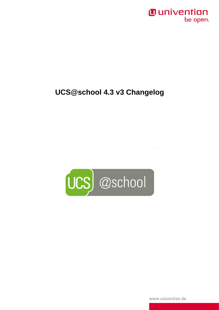## *Ounivention* be open.

## **UCS@school 4.3 v3 Changelog**



www.univention.de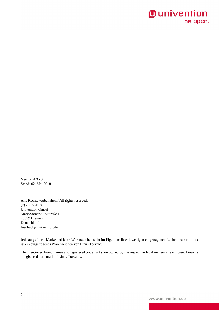## **O** univention be open.

Version 4.3 v3 Stand: 02. Mai 2018

Alle Rechte vorbehalten./ All rights reserved. (c) 2002-2018 Univention GmbH Mary-Somerville-Straße 1 28359 Bremen Deutschland feedback@univention.de

Jede aufgeführte Marke und jedes Warenzeichen steht im Eigentum ihrer jeweiligen eingetragenen Rechtsinhaber. Linux ist ein eingetragenes Warenzeichen von Linus Torvalds.

The mentioned brand names and registered trademarks are owned by the respective legal owners in each case. Linux is a registered trademark of Linus Torvalds.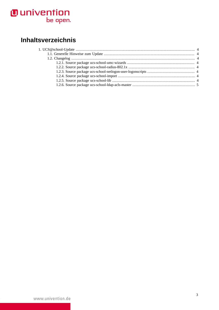# **O** univention<br>be open.

## Inhaltsverzeichnis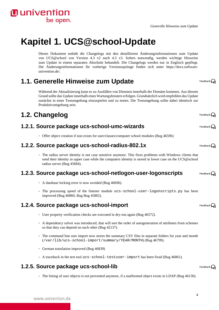

## <span id="page-3-0"></span>**Kapitel 1. UCS@school-Update**

Dieses Dokument enthält die Changelogs mit den detaillierten Änderungsinformationen zum Update von UCS@school von Version 4.3 v2 nach 4.3 v3. Sofern notwendig, werden wichtige Hinweise zum Update in einem separaten Abschnitt behandelt. Die Changelogs werden nur in Englisch gepflegt. Die Änderungsinformationen für vorherige Versionssprünge finden sich unter [https://docs.software](https://docs.software-univention.de/)[univention.de/](https://docs.software-univention.de/).

### <span id="page-3-1"></span>**1.1. Generelle Hinweise zum Update**

Während der Aktualisierung kann es zu Ausfällen von Diensten innerhalb der Domäne kommen. Aus diesem Grund sollte das Update innerhalb eines Wartungsfensters erfolgen. Grundsätzlich wird empfohlen das Update zunächst in einer Testumgebung einzuspielen und zu testen. Die Testumgebung sollte dabei identisch zur Produktivumgebung sein.

## <span id="page-3-2"></span>**1.2. Changelog**

**O** univention

be open.

#### <span id="page-3-3"></span>**1.2.1. Source package ucs-school-umc-wizards**

◦ Offer object creation if non exists for user/classes/computer school modules ([Bug 46596\)](https://forge.univention.org/bugzilla/show_bug.cgi?id=46596)

#### <span id="page-3-4"></span>**1.2.2. Source package ucs-school-radius-802.1x**

◦ The radius server identity is not case sensitive anymore. This fixes problems with Windows clients that send their identity in upper case while the computers identity is stored in lower case on the UCS@school radius server ([Bug 45684](https://forge.univention.org/bugzilla/show_bug.cgi?id=45684)).

#### <span id="page-3-5"></span>**1.2.3. Source package ucs-school-netlogon-user-logonscripts**

- A database locking error is now avoided [\(Bug 46696](https://forge.univention.org/bugzilla/show_bug.cgi?id=46696)).
- The processing speed of the listener module ucs-school-user-logonscripts.py has been improved ([Bug 46860](https://forge.univention.org/bugzilla/show_bug.cgi?id=46860), [Bug](https://forge.univention.org/bugzilla/show_bug.cgi?id=) [Bug 45802](https://forge.univention.org/bugzilla/show_bug.cgi?id=45802)).

#### <span id="page-3-6"></span>**1.2.4. Source package ucs-school-import**

- User property verification checks are executed in dry-run again ([Bug 46572\)](https://forge.univention.org/bugzilla/show_bug.cgi?id=46572).
- A dependency solver was introduced, that will sort the order of autogeneration of attributes from schemes so that they can depend on each other ([Bug 42137\)](https://forge.univention.org/bugzilla/show_bug.cgi?id=42137).
- The command line user import now stores the summary CSV files in separate folders for year and month (/var/lib/ucs-school-import/summary/YEAR/MONTH) [\(Bug 46799](https://forge.univention.org/bugzilla/show_bug.cgi?id=46799)).
- German translation improved [\(Bug 46839](https://forge.univention.org/bugzilla/show_bug.cgi?id=46839))
- A traceback in the test tool ucs-school-testuser-import has been fixed ([Bug 46861\)](https://forge.univention.org/bugzilla/show_bug.cgi?id=46861).

#### <span id="page-3-7"></span>**1.2.5. Source package ucs-school-lib**

◦ The listing of user objects is not prevented anymore, if a malformed object exists in LDAP ([Bug 46130\)](https://forge.univention.org/bugzilla/show_bug.cgi?id=46130).

Feedback $\Omega$ 

4

Feedback $\Omega$ 

Feedback $\Omega$ 

Feedback $\Omega$ 

Feedback $\Omega$